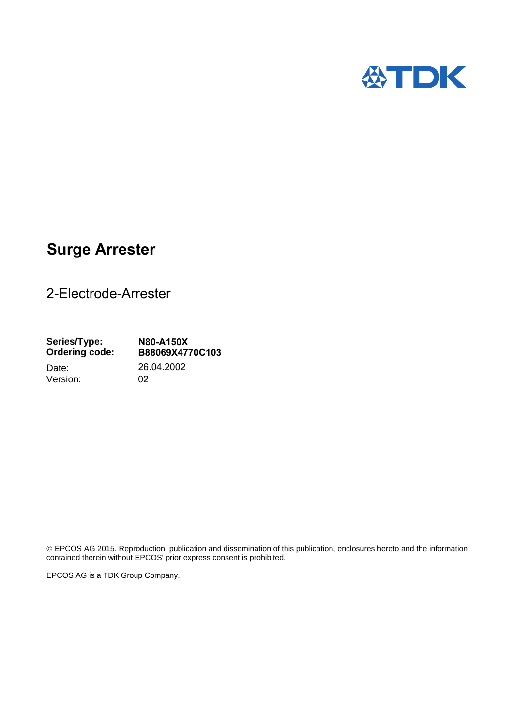

## **Surge Arrester**

2-Electrode-Arrester

**Series/Type: Ordering code: N80-A150X B88069X4770C103** Date: 26.04.2002 Version: 02

 EPCOS AG 2015. Reproduction, publication and dissemination of this publication, enclosures hereto and the information contained therein without EPCOS' prior express consent is prohibited.

EPCOS AG is a TDK Group Company.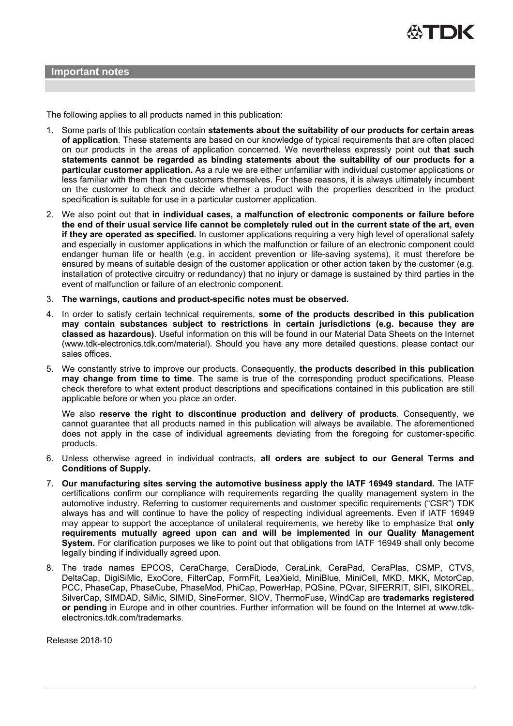

The following applies to all products named in this publication:

- 1. Some parts of this publication contain **statements about the suitability of our products for certain areas of application**. These statements are based on our knowledge of typical requirements that are often placed on our products in the areas of application concerned. We nevertheless expressly point out **that such statements cannot be regarded as binding statements about the suitability of our products for a particular customer application.** As a rule we are either unfamiliar with individual customer applications or less familiar with them than the customers themselves. For these reasons, it is always ultimately incumbent on the customer to check and decide whether a product with the properties described in the product specification is suitable for use in a particular customer application.
- 2. We also point out that **in individual cases, a malfunction of electronic components or failure before the end of their usual service life cannot be completely ruled out in the current state of the art, even if they are operated as specified.** In customer applications requiring a very high level of operational safety and especially in customer applications in which the malfunction or failure of an electronic component could endanger human life or health (e.g. in accident prevention or life-saving systems), it must therefore be ensured by means of suitable design of the customer application or other action taken by the customer (e.g. installation of protective circuitry or redundancy) that no injury or damage is sustained by third parties in the event of malfunction or failure of an electronic component.
- 3. **The warnings, cautions and product-specific notes must be observed.**
- 4. In order to satisfy certain technical requirements, **some of the products described in this publication may contain substances subject to restrictions in certain jurisdictions (e.g. because they are classed as hazardous)**. Useful information on this will be found in our Material Data Sheets on the Internet (www.tdk-electronics.tdk.com/material). Should you have any more detailed questions, please contact our sales offices.
- 5. We constantly strive to improve our products. Consequently, **the products described in this publication may change from time to time**. The same is true of the corresponding product specifications. Please check therefore to what extent product descriptions and specifications contained in this publication are still applicable before or when you place an order.

We also **reserve the right to discontinue production and delivery of products**. Consequently, we cannot guarantee that all products named in this publication will always be available. The aforementioned does not apply in the case of individual agreements deviating from the foregoing for customer-specific products.

- 6. Unless otherwise agreed in individual contracts, **all orders are subject to our General Terms and Conditions of Supply.**
- 7. **Our manufacturing sites serving the automotive business apply the IATF 16949 standard.** The IATF certifications confirm our compliance with requirements regarding the quality management system in the automotive industry. Referring to customer requirements and customer specific requirements ("CSR") TDK always has and will continue to have the policy of respecting individual agreements. Even if IATF 16949 may appear to support the acceptance of unilateral requirements, we hereby like to emphasize that **only requirements mutually agreed upon can and will be implemented in our Quality Management System.** For clarification purposes we like to point out that obligations from IATF 16949 shall only become legally binding if individually agreed upon.
- 8. The trade names EPCOS, CeraCharge, CeraDiode, CeraLink, CeraPad, CeraPlas, CSMP, CTVS, DeltaCap, DigiSiMic, ExoCore, FilterCap, FormFit, LeaXield, MiniBlue, MiniCell, MKD, MKK, MotorCap, PCC, PhaseCap, PhaseCube, PhaseMod, PhiCap, PowerHap, PQSine, PQvar, SIFERRIT, SIFI, SIKOREL, SilverCap, SIMDAD, SiMic, SIMID, SineFormer, SIOV, ThermoFuse, WindCap are **trademarks registered or pending** in Europe and in other countries. Further information will be found on the Internet at www.tdkelectronics.tdk.com/trademarks.

Release 2018-10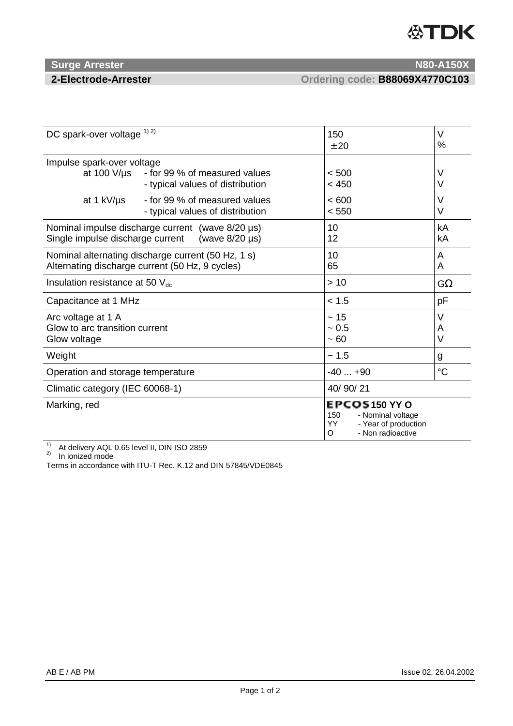# **公TDK**

### **Surge Arrester N80-A150X** N80-A150X

**2-Electrode-Arrester Ordering code: B88069X4770C103**

| DC spark-over voltage 1) 2)                                                                                            |                                                                   | 150<br>± 20                                                                                        | $\vee$<br>%      |
|------------------------------------------------------------------------------------------------------------------------|-------------------------------------------------------------------|----------------------------------------------------------------------------------------------------|------------------|
| Impulse spark-over voltage<br>at 100 $V/\mu s$                                                                         | - for 99 % of measured values<br>- typical values of distribution | < 500<br>< 450                                                                                     | V<br>V           |
| at 1 kV/µs                                                                                                             | - for 99 % of measured values<br>- typical values of distribution | < 600<br>< 550                                                                                     | V<br>$\vee$      |
| Nominal impulse discharge current (wave $8/20 \,\mu s$ )<br>Single impulse discharge current<br>(wave $8/20 \,\mu s$ ) |                                                                   | 10<br>12                                                                                           | kA<br>kA         |
| Nominal alternating discharge current (50 Hz, 1 s)<br>Alternating discharge current (50 Hz, 9 cycles)                  |                                                                   | 10<br>65                                                                                           | A<br>A           |
| Insulation resistance at 50 $V_{dc}$                                                                                   |                                                                   | >10                                                                                                | $G\Omega$        |
| Capacitance at 1 MHz                                                                                                   |                                                                   | < 1.5                                                                                              | pF               |
| Arc voltage at 1 A<br>Glow to arc transition current<br>Glow voltage                                                   |                                                                   | ~15<br>$~1$ 0.5<br>$~1$ – 60                                                                       | V<br>A<br>$\vee$ |
| Weight                                                                                                                 |                                                                   | ~1.5                                                                                               | g                |
| Operation and storage temperature                                                                                      |                                                                   | $-40+90$                                                                                           | $\rm ^{\circ}C$  |
| Climatic category (IEC 60068-1)                                                                                        |                                                                   | 40/90/21                                                                                           |                  |
| Marking, red                                                                                                           |                                                                   | EPCOS150 YY O<br>150<br>- Nominal voltage<br>YY.<br>- Year of production<br>- Non radioactive<br>O |                  |

<sup>1)</sup> At delivery AQL 0.65 level II, DIN ISO 2859<br><sup>2)</sup> In ionized mode

Terms in accordance with ITU-T Rec. K.12 and DIN 57845/VDE0845